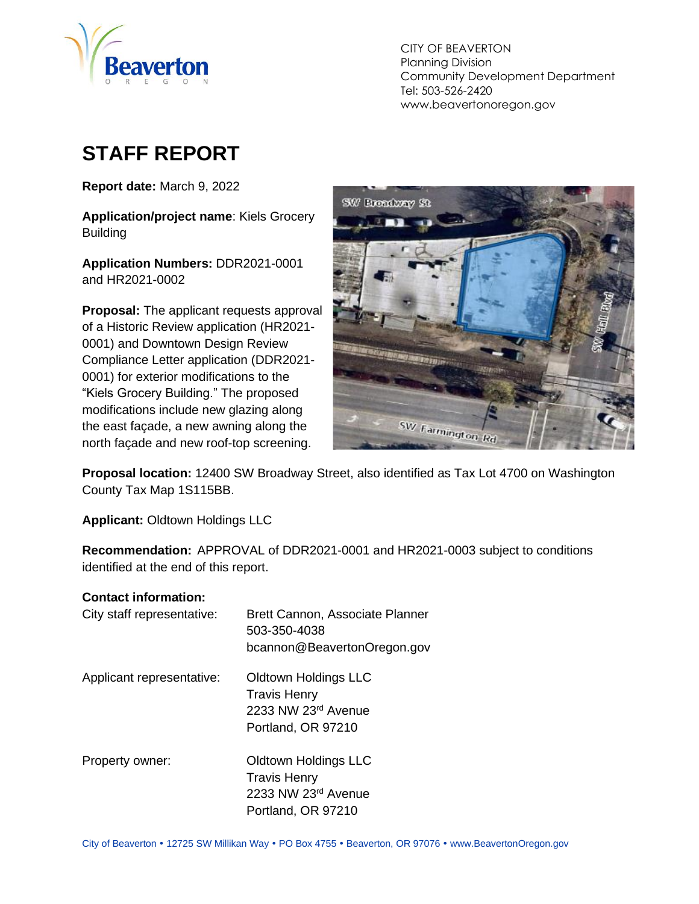

CITY OF BEAVERTON Planning Division Community Development Department Tel: 503-526-2420 www.beavertonoregon.gov

# <span id="page-0-0"></span>**STAFF REPORT**

**Report date:** March 9, 2022

**Application/project name**: Kiels Grocery **Building** 

**Application Numbers:** DDR2021-0001 and HR2021-0002

**Proposal:** The applicant requests approval of a Historic Review application (HR2021- 0001) and Downtown Design Review Compliance Letter application (DDR2021- 0001) for exterior modifications to the "Kiels Grocery Building." The proposed modifications include new glazing along the east façade, a new awning along the north façade and new roof-top screening.



**Proposal location:** 12400 SW Broadway Street, also identified as Tax Lot 4700 on Washington County Tax Map 1S115BB.

**Applicant:** Oldtown Holdings LLC

**Recommendation:** APPROVAL of DDR2021-0001 and HR2021-0003 subject to conditions identified at the end of this report.

#### **Contact information:**

| City staff representative: | Brett Cannon, Associate Planner<br>503-350-4038<br>bcannon@BeavertonOregon.gov                  |
|----------------------------|-------------------------------------------------------------------------------------------------|
| Applicant representative:  | Oldtown Holdings LLC<br><b>Travis Henry</b><br>2233 NW 23rd Avenue<br>Portland, OR 97210        |
| Property owner:            | <b>Oldtown Holdings LLC</b><br><b>Travis Henry</b><br>2233 NW 23rd Avenue<br>Portland, OR 97210 |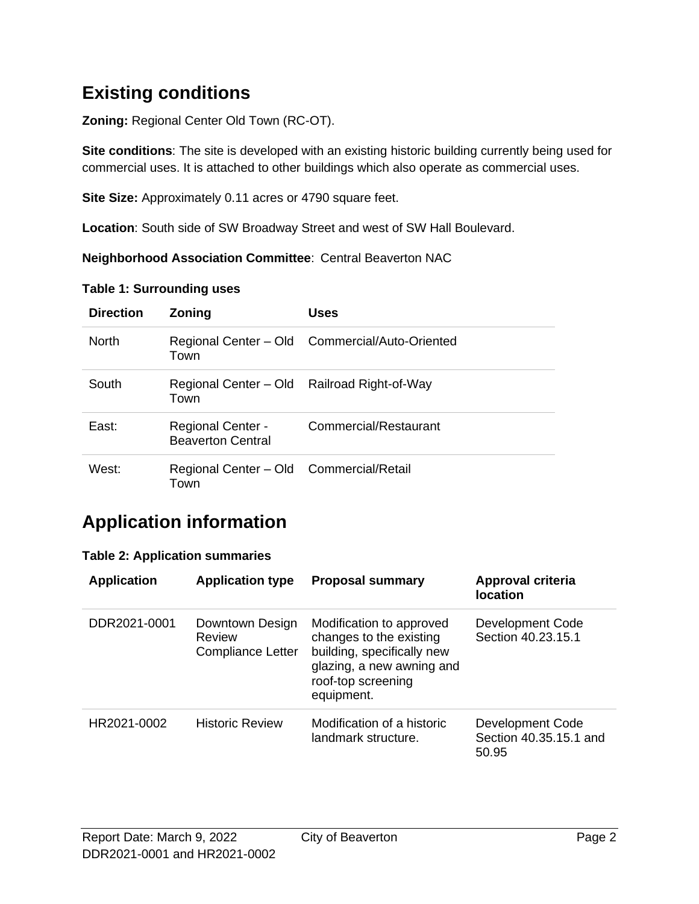## **Existing conditions**

**Zoning:** Regional Center Old Town (RC-OT).

**Site conditions**: The site is developed with an existing historic building currently being used for commercial uses. It is attached to other buildings which also operate as commercial uses.

**Site Size:** Approximately 0.11 acres or 4790 square feet.

**Location**: South side of SW Broadway Street and west of SW Hall Boulevard.

**Neighborhood Association Committee**: Central Beaverton NAC

| <b>Direction</b> | Zoning                                               | Uses                                           |
|------------------|------------------------------------------------------|------------------------------------------------|
| <b>North</b>     | Town                                                 | Regional Center - Old Commercial/Auto-Oriented |
| South            | Town                                                 | Regional Center - Old Railroad Right-of-Way    |
| East:            | <b>Regional Center -</b><br><b>Beaverton Central</b> | Commercial/Restaurant                          |
| West:            | Regional Center - Old Commercial/Retail<br>Town      |                                                |

#### **Table 1: Surrounding uses**

## **Application information**

#### **Table 2: Application summaries**

| <b>Application</b> | <b>Application type</b>                               | <b>Proposal summary</b>                                                                                                                            | Approval criteria<br><b>location</b>                       |
|--------------------|-------------------------------------------------------|----------------------------------------------------------------------------------------------------------------------------------------------------|------------------------------------------------------------|
| DDR2021-0001       | Downtown Design<br><b>Review</b><br>Compliance Letter | Modification to approved<br>changes to the existing<br>building, specifically new<br>glazing, a new awning and<br>roof-top screening<br>equipment. | <b>Development Code</b><br>Section 40.23.15.1              |
| HR2021-0002        | <b>Historic Review</b>                                | Modification of a historic<br>landmark structure.                                                                                                  | <b>Development Code</b><br>Section 40.35.15.1 and<br>50.95 |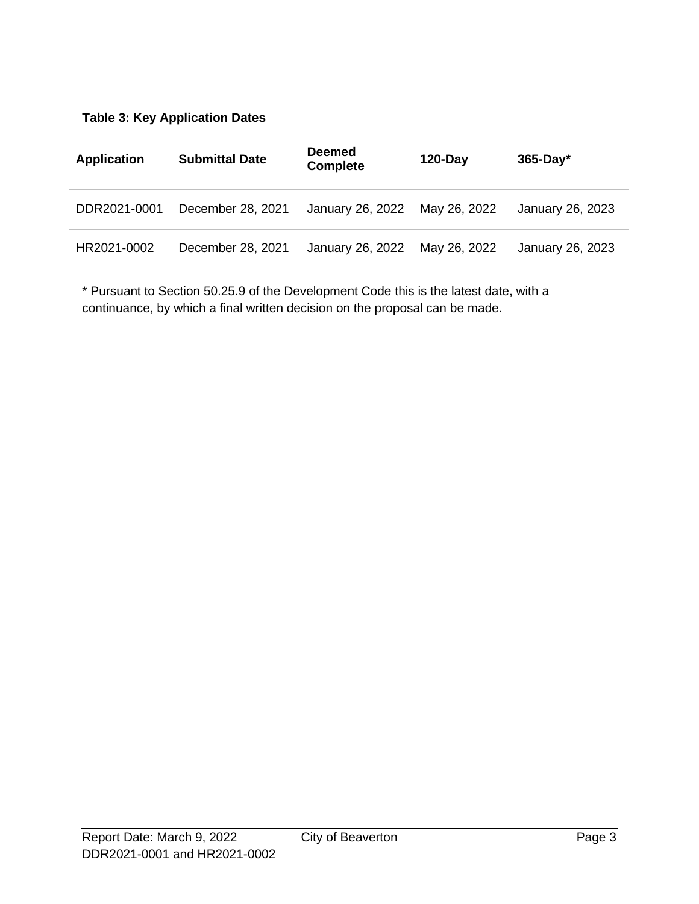#### **Table 3: Key Application Dates**

| <b>Application</b> | <b>Submittal Date</b> | <b>Deemed</b><br><b>Complete</b> | $120 - Day$  | $365$ -Day*      |
|--------------------|-----------------------|----------------------------------|--------------|------------------|
| DDR2021-0001       | December 28, 2021     | January 26, 2022                 | May 26, 2022 | January 26, 2023 |
| HR2021-0002        | December 28, 2021     | January 26, 2022                 | May 26, 2022 | January 26, 2023 |

\* Pursuant to Section 50.25.9 of the Development Code this is the latest date, with a continuance, by which a final written decision on the proposal can be made.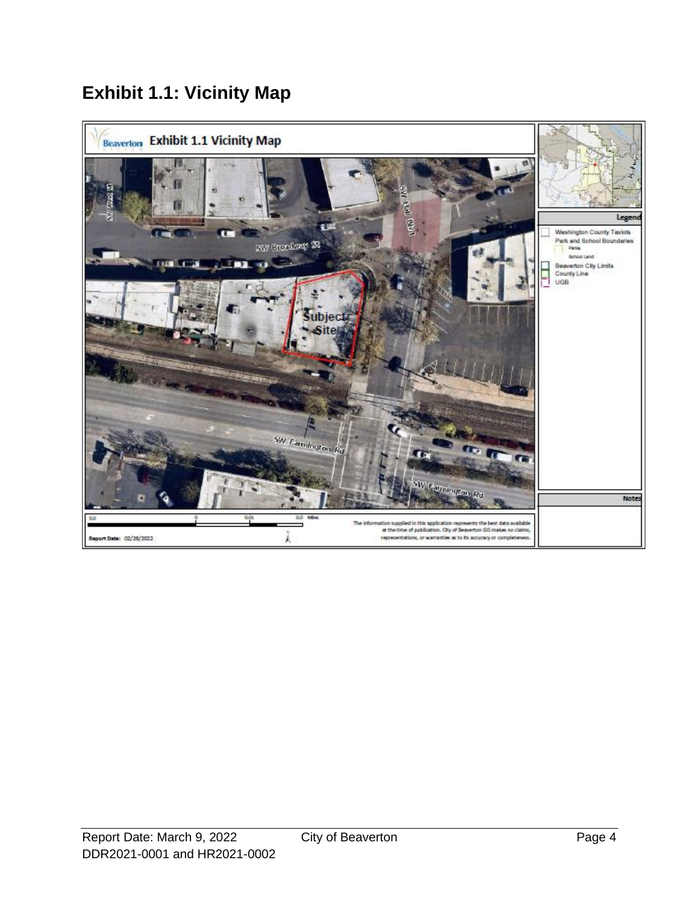## **Exhibit 1.1: Vicinity Map**

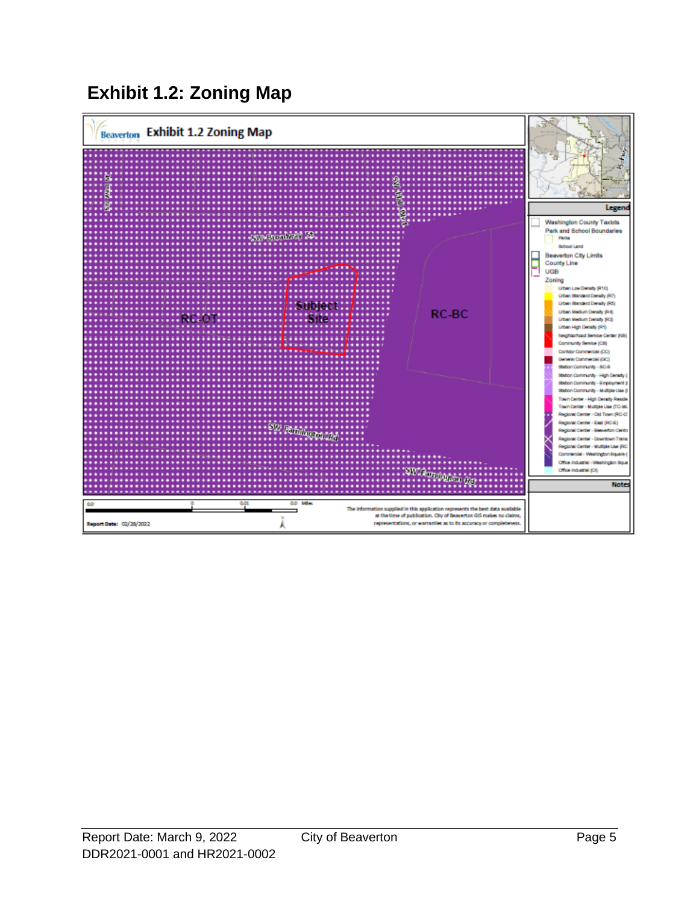## **Exhibit 1.2: Zoning Map**

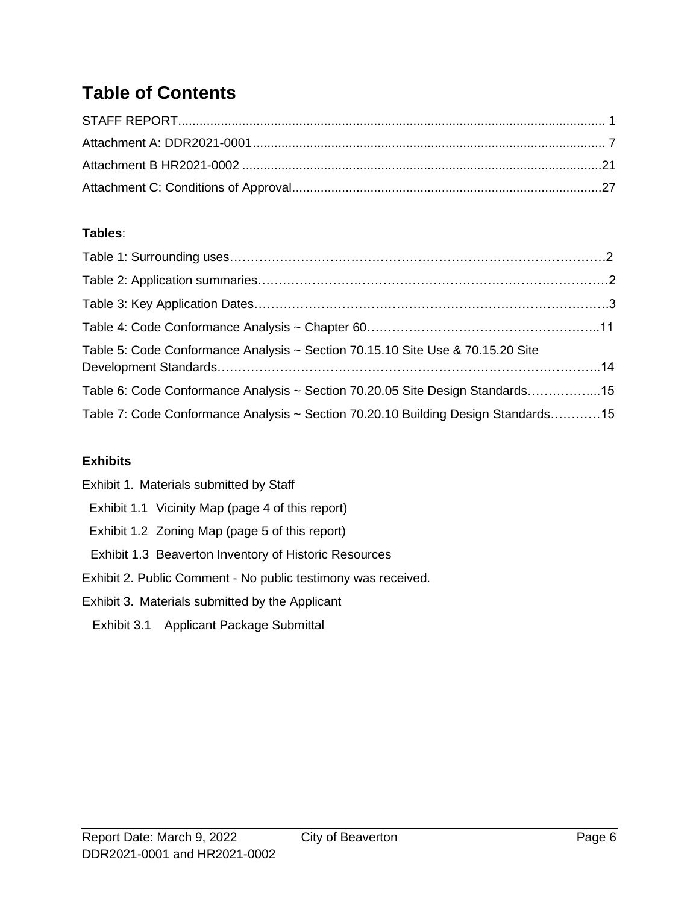## **Table of Contents**

#### **Tables**:

| Table 5: Code Conformance Analysis ~ Section 70.15.10 Site Use & 70.15.20 Site    |  |
|-----------------------------------------------------------------------------------|--|
| Table 6: Code Conformance Analysis ~ Section 70.20.05 Site Design Standards15     |  |
| Table 7: Code Conformance Analysis ~ Section 70.20.10 Building Design Standards15 |  |

#### **Exhibits**

| Exhibit 1. Materials submitted by Staff                       |
|---------------------------------------------------------------|
| Exhibit 1.1 Vicinity Map (page 4 of this report)              |
| Exhibit 1.2 Zoning Map (page 5 of this report)                |
| Exhibit 1.3 Beaverton Inventory of Historic Resources         |
| Exhibit 2. Public Comment - No public testimony was received. |
| Exhibit 3. Materials submitted by the Applicant               |
| Exhibit 3.1 Applicant Package Submittal                       |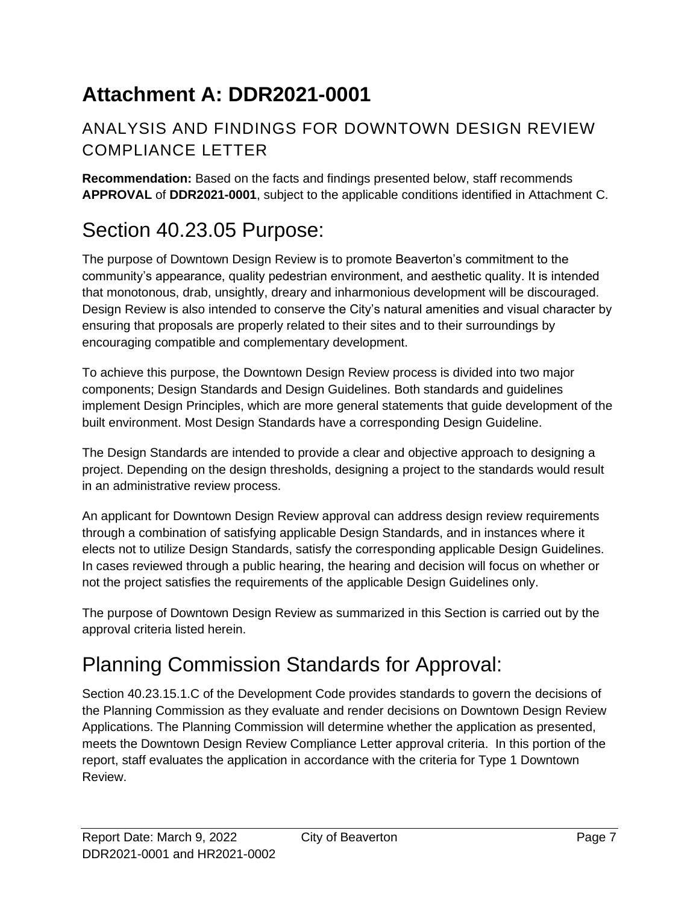# <span id="page-6-0"></span>**Attachment A: DDR2021-0001**

## ANALYSIS AND FINDINGS FOR DOWNTOWN DESIGN REVIEW COMPLIANCE LETTER

**Recommendation:** Based on the facts and findings presented below, staff recommends **APPROVAL** of **DDR2021-0001**, subject to the applicable conditions identified in Attachment C.

# Section 40.23.05 Purpose:

The purpose of Downtown Design Review is to promote Beaverton's commitment to the community's appearance, quality pedestrian environment, and aesthetic quality. It is intended that monotonous, drab, unsightly, dreary and inharmonious development will be discouraged. Design Review is also intended to conserve the City's natural amenities and visual character by ensuring that proposals are properly related to their sites and to their surroundings by encouraging compatible and complementary development.

To achieve this purpose, the Downtown Design Review process is divided into two major components; Design Standards and Design Guidelines. Both standards and guidelines implement Design Principles, which are more general statements that guide development of the built environment. Most Design Standards have a corresponding Design Guideline.

The Design Standards are intended to provide a clear and objective approach to designing a project. Depending on the design thresholds, designing a project to the standards would result in an administrative review process.

An applicant for Downtown Design Review approval can address design review requirements through a combination of satisfying applicable Design Standards, and in instances where it elects not to utilize Design Standards, satisfy the corresponding applicable Design Guidelines. In cases reviewed through a public hearing, the hearing and decision will focus on whether or not the project satisfies the requirements of the applicable Design Guidelines only.

The purpose of Downtown Design Review as summarized in this Section is carried out by the approval criteria listed herein.

# Planning Commission Standards for Approval:

Section 40.23.15.1.C of the Development Code provides standards to govern the decisions of the Planning Commission as they evaluate and render decisions on Downtown Design Review Applications. The Planning Commission will determine whether the application as presented, meets the Downtown Design Review Compliance Letter approval criteria. In this portion of the report, staff evaluates the application in accordance with the criteria for Type 1 Downtown Review.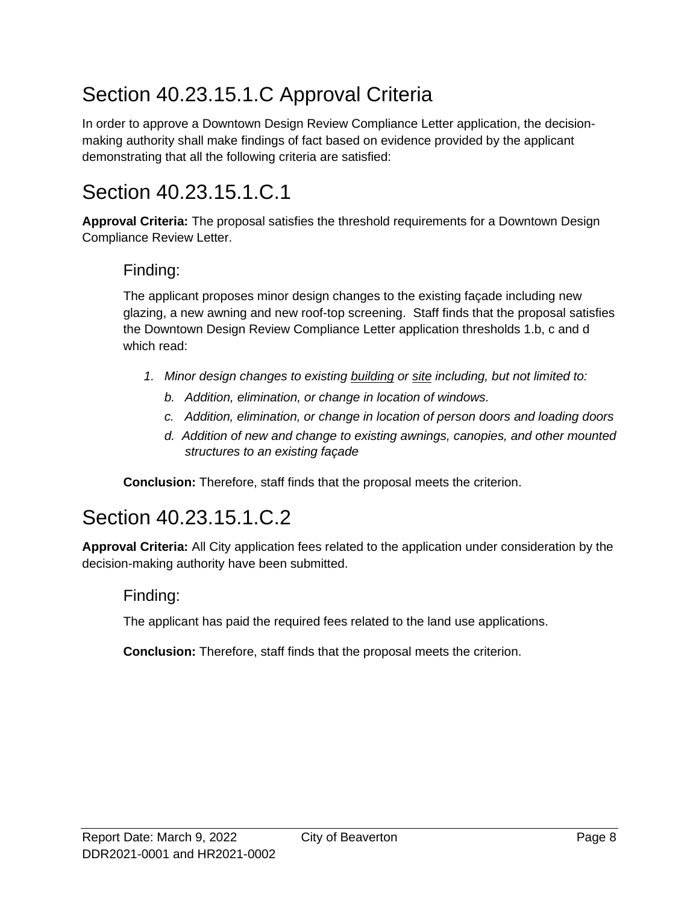# Section 40.23.15.1.C Approval Criteria

In order to approve a Downtown Design Review Compliance Letter application, the decisionmaking authority shall make findings of fact based on evidence provided by the applicant demonstrating that all the following criteria are satisfied:

# Section 40.23.15.1.C.1

**Approval Criteria:** The proposal satisfies the threshold requirements for a Downtown Design Compliance Review Letter.

#### Finding:

The applicant proposes minor design changes to the existing façade including new glazing, a new awning and new roof-top screening. Staff finds that the proposal satisfies the Downtown Design Review Compliance Letter application thresholds 1.b, c and d which read:

- *1. Minor design changes to existing [building](http://online.encodeplus.com/regs/beaverton-or/doc-view.aspx?pn=0&ajax=0&secid=24) or [site](http://online.encodeplus.com/regs/beaverton-or/doc-view.aspx?pn=0&ajax=0&secid=87) including, but not limited to:*
	- *b. Addition, elimination, or change in location of windows.*
	- *c. Addition, elimination, or change in location of person doors and loading doors*
	- *d. Addition of new and change to existing awnings, canopies, and other mounted structures to an existing façade*

**Conclusion:** Therefore, staff finds that the proposal meets the criterion.

## Section 40.23.15.1.C.2

**Approval Criteria:** All City application fees related to the application under consideration by the decision-making authority have been submitted.

#### Finding:

The applicant has paid the required fees related to the land use applications.

**Conclusion:** Therefore, staff finds that the proposal meets the criterion.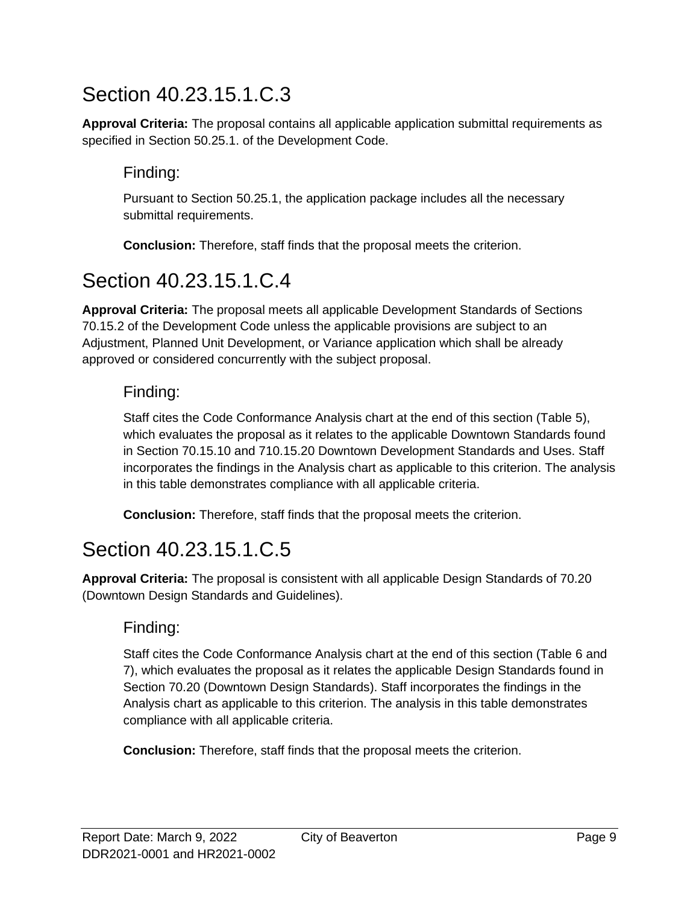# Section 40.23.15.1.C.3

**Approval Criteria:** The proposal contains all applicable application submittal requirements as specified in Section 50.25.1. of the Development Code.

### Finding:

Pursuant to Section 50.25.1, the application package includes all the necessary submittal requirements.

**Conclusion:** Therefore, staff finds that the proposal meets the criterion.

# Section 40.23.15.1.C.4

**Approval Criteria:** The proposal meets all applicable Development Standards of Sections 70.15.2 of the Development Code unless the applicable provisions are subject to an Adjustment, Planned Unit Development, or Variance application which shall be already approved or considered concurrently with the subject proposal.

#### Finding:

Staff cites the Code Conformance Analysis chart at the end of this section (Table 5), which evaluates the proposal as it relates to the applicable Downtown Standards found in Section 70.15.10 and 710.15.20 Downtown Development Standards and Uses. Staff incorporates the findings in the Analysis chart as applicable to this criterion. The analysis in this table demonstrates compliance with all applicable criteria.

**Conclusion:** Therefore, staff finds that the proposal meets the criterion.

# Section 40.23.15.1.C.5

**Approval Criteria:** The proposal is consistent with all applicable Design Standards of 70.20 (Downtown Design Standards and Guidelines).

#### Finding:

Staff cites the Code Conformance Analysis chart at the end of this section (Table 6 and 7), which evaluates the proposal as it relates the applicable Design Standards found in Section 70.20 (Downtown Design Standards). Staff incorporates the findings in the Analysis chart as applicable to this criterion. The analysis in this table demonstrates compliance with all applicable criteria.

**Conclusion:** Therefore, staff finds that the proposal meets the criterion.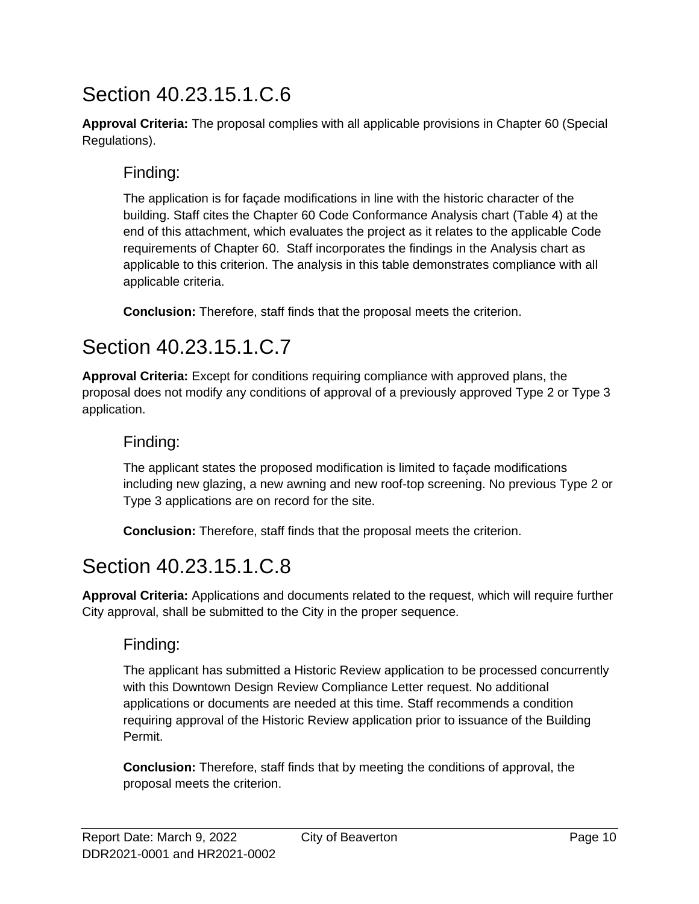# Section 40.23.15.1.C.6

**Approval Criteria:** The proposal complies with all applicable provisions in Chapter 60 (Special Regulations).

#### Finding:

The application is for façade modifications in line with the historic character of the building. Staff cites the Chapter 60 Code Conformance Analysis chart (Table 4) at the end of this attachment, which evaluates the project as it relates to the applicable Code requirements of Chapter 60. Staff incorporates the findings in the Analysis chart as applicable to this criterion. The analysis in this table demonstrates compliance with all applicable criteria.

**Conclusion:** Therefore, staff finds that the proposal meets the criterion.

# Section 40.23.15.1.C.7

**Approval Criteria:** Except for conditions requiring compliance with approved plans, the proposal does not modify any conditions of approval of a previously approved Type 2 or Type 3 application.

### Finding:

The applicant states the proposed modification is limited to façade modifications including new glazing, a new awning and new roof-top screening. No previous Type 2 or Type 3 applications are on record for the site.

**Conclusion:** Therefore, staff finds that the proposal meets the criterion.

# Section 40.23.15.1.C.8

**Approval Criteria:** Applications and documents related to the request, which will require further City approval, shall be submitted to the City in the proper sequence.

#### Finding:

The applicant has submitted a Historic Review application to be processed concurrently with this Downtown Design Review Compliance Letter request. No additional applications or documents are needed at this time. Staff recommends a condition requiring approval of the Historic Review application prior to issuance of the Building Permit.

**Conclusion:** Therefore, staff finds that by meeting the conditions of approval, the proposal meets the criterion.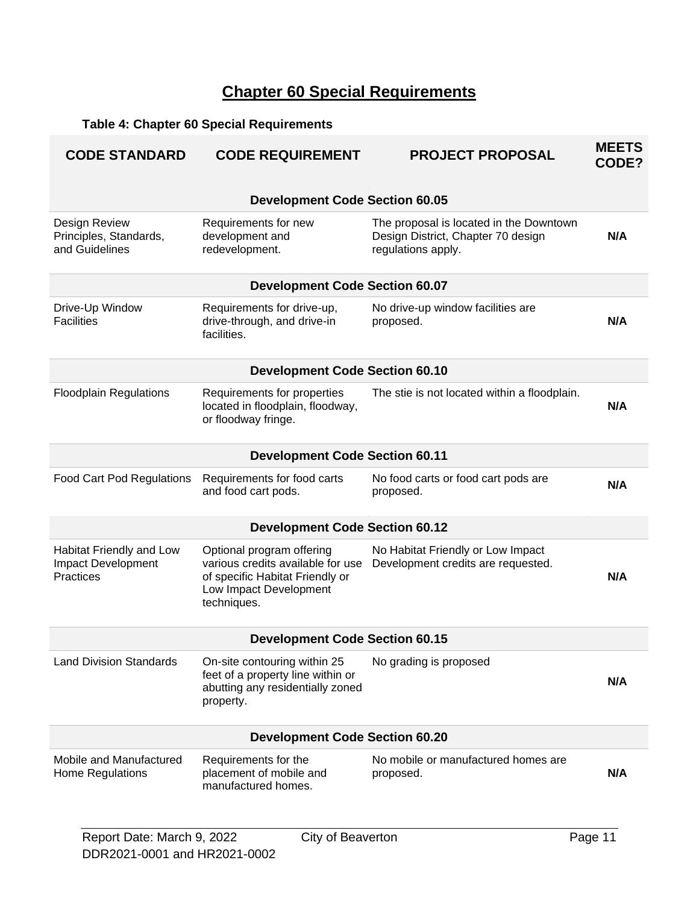## **Chapter 60 Special Requirements**

## **Table 4: Chapter 60 Special Requirements**

| <b>CODE STANDARD</b>                                               | <b>CODE REQUIREMENT</b>                                                                                                                    | <b>PROJECT PROPOSAL</b>                                                                             | <b>MEETS</b><br>CODE? |
|--------------------------------------------------------------------|--------------------------------------------------------------------------------------------------------------------------------------------|-----------------------------------------------------------------------------------------------------|-----------------------|
|                                                                    | <b>Development Code Section 60.05</b>                                                                                                      |                                                                                                     |                       |
| Design Review<br>Principles, Standards,<br>and Guidelines          | Requirements for new<br>development and<br>redevelopment.                                                                                  | The proposal is located in the Downtown<br>Design District, Chapter 70 design<br>regulations apply. | N/A                   |
|                                                                    | <b>Development Code Section 60.07</b>                                                                                                      |                                                                                                     |                       |
| Drive-Up Window<br><b>Facilities</b>                               | Requirements for drive-up,<br>drive-through, and drive-in<br>facilities.                                                                   | No drive-up window facilities are<br>proposed.                                                      | N/A                   |
|                                                                    | <b>Development Code Section 60.10</b>                                                                                                      |                                                                                                     |                       |
| <b>Floodplain Regulations</b>                                      | Requirements for properties<br>located in floodplain, floodway,<br>or floodway fringe.                                                     | The stie is not located within a floodplain.                                                        | N/A                   |
|                                                                    | <b>Development Code Section 60.11</b>                                                                                                      |                                                                                                     |                       |
| <b>Food Cart Pod Regulations</b>                                   | Requirements for food carts<br>and food cart pods.                                                                                         | No food carts or food cart pods are<br>proposed.                                                    | N/A                   |
|                                                                    | <b>Development Code Section 60.12</b>                                                                                                      |                                                                                                     |                       |
| Habitat Friendly and Low<br><b>Impact Development</b><br>Practices | Optional program offering<br>various credits available for use<br>of specific Habitat Friendly or<br>Low Impact Development<br>techniques. | No Habitat Friendly or Low Impact<br>Development credits are requested.                             | N/A                   |
|                                                                    | <b>Development Code Section 60.15</b>                                                                                                      |                                                                                                     |                       |
| <b>Land Division Standards</b>                                     | On-site contouring within 25<br>feet of a property line within or<br>abutting any residentially zoned<br>property.                         | No grading is proposed                                                                              | N/A                   |
|                                                                    | <b>Development Code Section 60.20</b>                                                                                                      |                                                                                                     |                       |
| Mobile and Manufactured<br><b>Home Regulations</b>                 | Requirements for the<br>placement of mobile and<br>manufactured homes.                                                                     | No mobile or manufactured homes are<br>proposed.                                                    | N/A                   |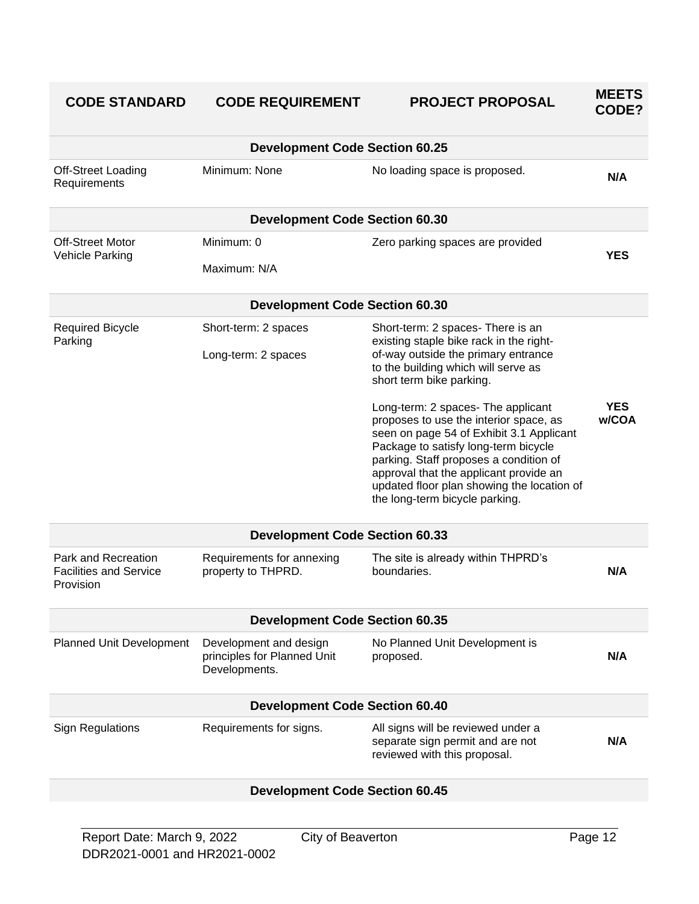| <b>CODE STANDARD</b>                                              | <b>CODE REQUIREMENT</b>                                                | <b>PROJECT PROPOSAL</b>                                                                                                                                                                                                                              | <b>MEETS</b><br>CODE? |
|-------------------------------------------------------------------|------------------------------------------------------------------------|------------------------------------------------------------------------------------------------------------------------------------------------------------------------------------------------------------------------------------------------------|-----------------------|
|                                                                   | <b>Development Code Section 60.25</b>                                  |                                                                                                                                                                                                                                                      |                       |
| Off-Street Loading<br>Requirements                                | Minimum: None                                                          | No loading space is proposed.                                                                                                                                                                                                                        | N/A                   |
|                                                                   | <b>Development Code Section 60.30</b>                                  |                                                                                                                                                                                                                                                      |                       |
| <b>Off-Street Motor</b><br>Vehicle Parking                        | Minimum: 0                                                             | Zero parking spaces are provided                                                                                                                                                                                                                     | <b>YES</b>            |
|                                                                   | Maximum: N/A                                                           |                                                                                                                                                                                                                                                      |                       |
|                                                                   | <b>Development Code Section 60.30</b>                                  |                                                                                                                                                                                                                                                      |                       |
| <b>Required Bicycle</b><br>Parking                                | Short-term: 2 spaces<br>Long-term: 2 spaces                            | Short-term: 2 spaces- There is an<br>existing staple bike rack in the right-<br>of-way outside the primary entrance<br>to the building which will serve as                                                                                           |                       |
|                                                                   |                                                                        | short term bike parking.                                                                                                                                                                                                                             |                       |
|                                                                   |                                                                        | Long-term: 2 spaces- The applicant<br>proposes to use the interior space, as<br>seen on page 54 of Exhibit 3.1 Applicant<br>Package to satisfy long-term bicycle<br>parking. Staff proposes a condition of<br>approval that the applicant provide an | <b>YES</b><br>w/COA   |
|                                                                   |                                                                        | updated floor plan showing the location of<br>the long-term bicycle parking.                                                                                                                                                                         |                       |
|                                                                   | <b>Development Code Section 60.33</b>                                  |                                                                                                                                                                                                                                                      |                       |
| Park and Recreation<br><b>Facilities and Service</b><br>Provision | Requirements for annexing<br>property to THPRD.                        | The site is already within THPRD's<br>boundaries.                                                                                                                                                                                                    | N/A                   |
|                                                                   | <b>Development Code Section 60.35</b>                                  |                                                                                                                                                                                                                                                      |                       |
| Planned Unit Development                                          | Development and design<br>principles for Planned Unit<br>Developments. | No Planned Unit Development is<br>proposed.                                                                                                                                                                                                          | N/A                   |
|                                                                   | <b>Development Code Section 60.40</b>                                  |                                                                                                                                                                                                                                                      |                       |
| <b>Sign Regulations</b>                                           | Requirements for signs.                                                | All signs will be reviewed under a<br>separate sign permit and are not<br>reviewed with this proposal.                                                                                                                                               | N/A                   |
|                                                                   |                                                                        |                                                                                                                                                                                                                                                      |                       |

#### **Development Code Section 60.45**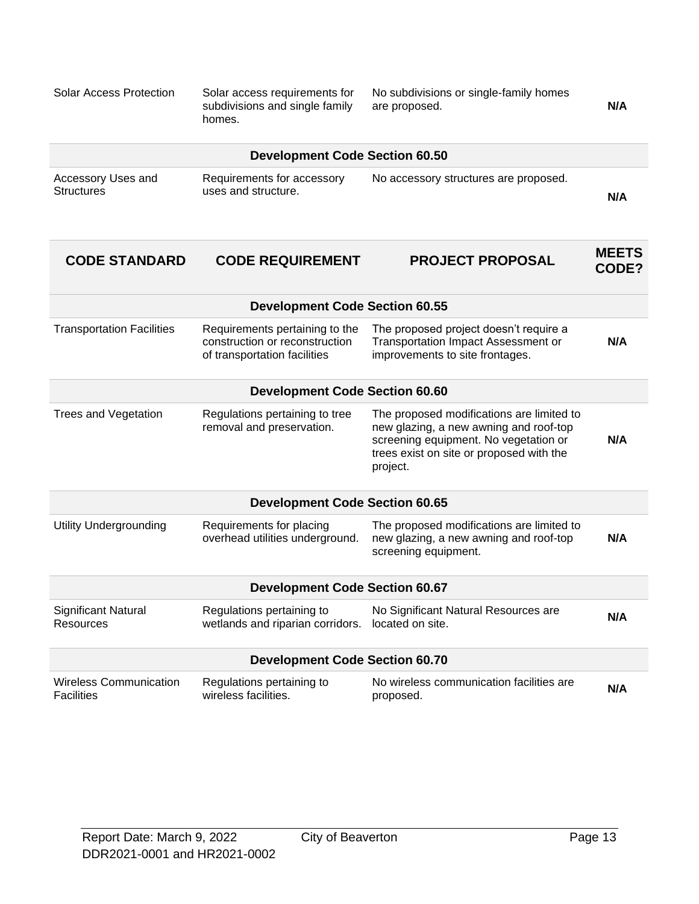| <b>Solar Access Protection</b>                     | Solar access requirements for<br>subdivisions and single family<br>homes.                        | No subdivisions or single-family homes<br>are proposed.                                                                                                                              | N/A                   |  |
|----------------------------------------------------|--------------------------------------------------------------------------------------------------|--------------------------------------------------------------------------------------------------------------------------------------------------------------------------------------|-----------------------|--|
|                                                    | <b>Development Code Section 60.50</b>                                                            |                                                                                                                                                                                      |                       |  |
| Accessory Uses and<br><b>Structures</b>            | Requirements for accessory<br>uses and structure.                                                | No accessory structures are proposed.                                                                                                                                                | N/A                   |  |
| <b>CODE STANDARD</b>                               | <b>CODE REQUIREMENT</b>                                                                          | <b>PROJECT PROPOSAL</b>                                                                                                                                                              | <b>MEETS</b><br>CODE? |  |
|                                                    | <b>Development Code Section 60.55</b>                                                            |                                                                                                                                                                                      |                       |  |
| <b>Transportation Facilities</b>                   | Requirements pertaining to the<br>construction or reconstruction<br>of transportation facilities | The proposed project doesn't require a<br><b>Transportation Impact Assessment or</b><br>improvements to site frontages.                                                              | N/A                   |  |
| <b>Development Code Section 60.60</b>              |                                                                                                  |                                                                                                                                                                                      |                       |  |
| <b>Trees and Vegetation</b>                        | Regulations pertaining to tree<br>removal and preservation.                                      | The proposed modifications are limited to<br>new glazing, a new awning and roof-top<br>screening equipment. No vegetation or<br>trees exist on site or proposed with the<br>project. | N/A                   |  |
|                                                    | <b>Development Code Section 60.65</b>                                                            |                                                                                                                                                                                      |                       |  |
| <b>Utility Undergrounding</b>                      | Requirements for placing<br>overhead utilities underground.                                      | The proposed modifications are limited to<br>new glazing, a new awning and roof-top<br>screening equipment.                                                                          | N/A                   |  |
| <b>Development Code Section 60.67</b>              |                                                                                                  |                                                                                                                                                                                      |                       |  |
| Significant Natural<br><b>Resources</b>            | Regulations pertaining to<br>wetlands and riparian corridors.                                    | No Significant Natural Resources are<br>located on site.                                                                                                                             | N/A                   |  |
|                                                    | <b>Development Code Section 60.70</b>                                                            |                                                                                                                                                                                      |                       |  |
| <b>Wireless Communication</b><br><b>Facilities</b> | Regulations pertaining to<br>wireless facilities.                                                | No wireless communication facilities are<br>proposed.                                                                                                                                | N/A                   |  |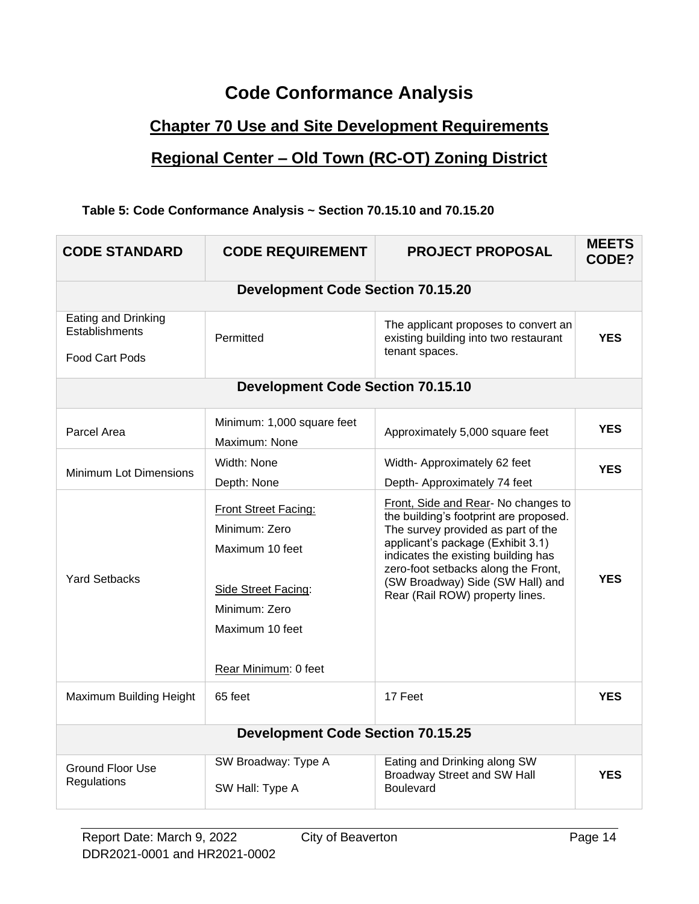## **Code Conformance Analysis**

### **Chapter 70 Use and Site Development Requirements**

#### **Regional Center – Old Town (RC-OT) Zoning District**

#### **Table 5: Code Conformance Analysis ~ Section 70.15.10 and 70.15.20**

| <b>CODE STANDARD</b>                                           | <b>CODE REQUIREMENT</b>                                                                                                                     | <b>PROJECT PROPOSAL</b>                                                                                                                                                                                                                                                                                       | <b>MEETS</b><br>CODE? |  |
|----------------------------------------------------------------|---------------------------------------------------------------------------------------------------------------------------------------------|---------------------------------------------------------------------------------------------------------------------------------------------------------------------------------------------------------------------------------------------------------------------------------------------------------------|-----------------------|--|
|                                                                | <b>Development Code Section 70.15.20</b>                                                                                                    |                                                                                                                                                                                                                                                                                                               |                       |  |
| Eating and Drinking<br>Establishments<br><b>Food Cart Pods</b> | Permitted                                                                                                                                   | The applicant proposes to convert an<br>existing building into two restaurant<br>tenant spaces.                                                                                                                                                                                                               | <b>YES</b>            |  |
|                                                                | <b>Development Code Section 70.15.10</b>                                                                                                    |                                                                                                                                                                                                                                                                                                               |                       |  |
| Parcel Area                                                    | Minimum: 1,000 square feet<br>Maximum: None                                                                                                 | Approximately 5,000 square feet                                                                                                                                                                                                                                                                               | <b>YES</b>            |  |
| <b>Minimum Lot Dimensions</b>                                  | Width: None<br>Depth: None                                                                                                                  | Width- Approximately 62 feet<br>Depth- Approximately 74 feet                                                                                                                                                                                                                                                  | <b>YES</b>            |  |
| <b>Yard Setbacks</b>                                           | Front Street Facing:<br>Minimum: Zero<br>Maximum 10 feet<br>Side Street Facing:<br>Minimum: Zero<br>Maximum 10 feet<br>Rear Minimum: 0 feet | Front, Side and Rear- No changes to<br>the building's footprint are proposed.<br>The survey provided as part of the<br>applicant's package (Exhibit 3.1)<br>indicates the existing building has<br>zero-foot setbacks along the Front,<br>(SW Broadway) Side (SW Hall) and<br>Rear (Rail ROW) property lines. | <b>YES</b>            |  |
| Maximum Building Height                                        | 65 feet                                                                                                                                     | 17 Feet                                                                                                                                                                                                                                                                                                       | <b>YES</b>            |  |
|                                                                | <b>Development Code Section 70.15.25</b>                                                                                                    |                                                                                                                                                                                                                                                                                                               |                       |  |
| <b>Ground Floor Use</b><br>Regulations                         | SW Broadway: Type A<br>SW Hall: Type A                                                                                                      | Eating and Drinking along SW<br><b>Broadway Street and SW Hall</b><br><b>Boulevard</b>                                                                                                                                                                                                                        | <b>YES</b>            |  |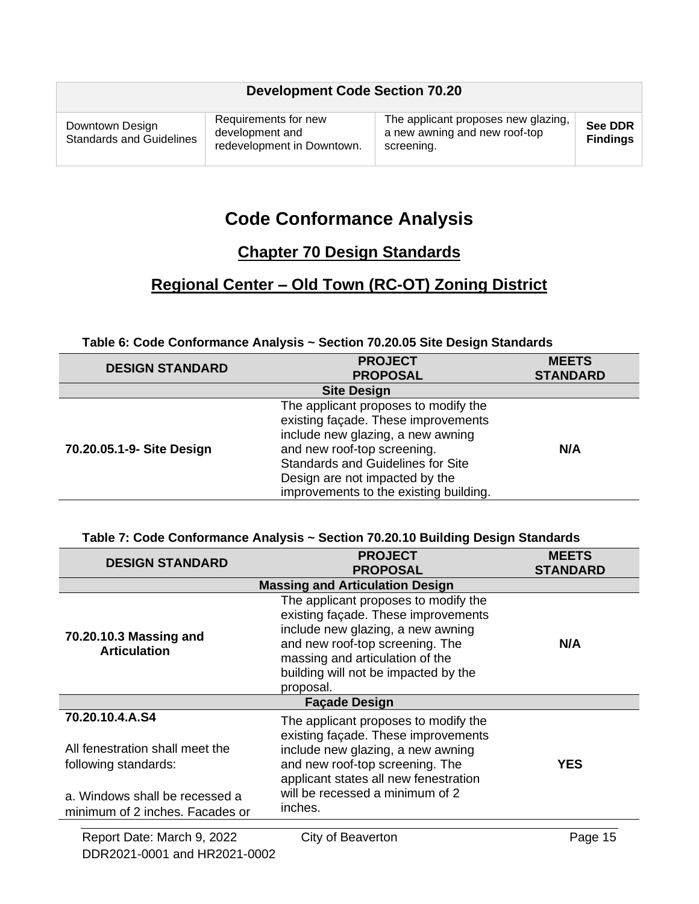| Requirements for new<br>Downtown Design<br>development and<br><b>Standards and Guidelines</b><br>redevelopment in Downtown. | The applicant proposes new glazing,<br>a new awning and new roof-top<br>screening. | See DDR<br><b>Findings</b> |
|-----------------------------------------------------------------------------------------------------------------------------|------------------------------------------------------------------------------------|----------------------------|

## **Code Conformance Analysis**

### **Chapter 70 Design Standards**

### **Regional Center – Old Town (RC-OT) Zoning District**

#### **Table 6: Code Conformance Analysis ~ Section 70.20.05 Site Design Standards**

| <b>DESIGN STANDARD</b>    | <b>PROJECT</b><br><b>PROPOSAL</b>                                                                                                                                                                                                                                       | <b>MEETS</b><br><b>STANDARD</b> |
|---------------------------|-------------------------------------------------------------------------------------------------------------------------------------------------------------------------------------------------------------------------------------------------------------------------|---------------------------------|
|                           | <b>Site Design</b>                                                                                                                                                                                                                                                      |                                 |
| 70.20.05.1-9- Site Design | The applicant proposes to modify the<br>existing façade. These improvements<br>include new glazing, a new awning<br>and new roof-top screening.<br><b>Standards and Guidelines for Site</b><br>Design are not impacted by the<br>improvements to the existing building. | N/A                             |

#### **Table 7: Code Conformance Analysis ~ Section 70.20.10 Building Design Standards**

| <b>DESIGN STANDARD</b>                                            | <b>PROJECT</b>                                                                                                                                       | <b>MEETS</b>    |
|-------------------------------------------------------------------|------------------------------------------------------------------------------------------------------------------------------------------------------|-----------------|
|                                                                   | <b>PROPOSAL</b>                                                                                                                                      | <b>STANDARD</b> |
|                                                                   | <b>Massing and Articulation Design</b>                                                                                                               |                 |
| 70.20.10.3 Massing and<br><b>Articulation</b>                     | The applicant proposes to modify the<br>existing façade. These improvements<br>include new glazing, a new awning<br>and new roof-top screening. The  | N/A             |
|                                                                   | massing and articulation of the<br>building will not be impacted by the<br>proposal.                                                                 |                 |
| <b>Façade Design</b>                                              |                                                                                                                                                      |                 |
| 70.20.10.4.A.S4                                                   | The applicant proposes to modify the                                                                                                                 |                 |
| All fenestration shall meet the<br>following standards:           | existing façade. These improvements<br>include new glazing, a new awning<br>and new roof-top screening. The<br>applicant states all new fenestration | <b>YES</b>      |
| a. Windows shall be recessed a<br>minimum of 2 inches. Facades or | will be recessed a minimum of 2<br>inches.                                                                                                           |                 |
|                                                                   |                                                                                                                                                      |                 |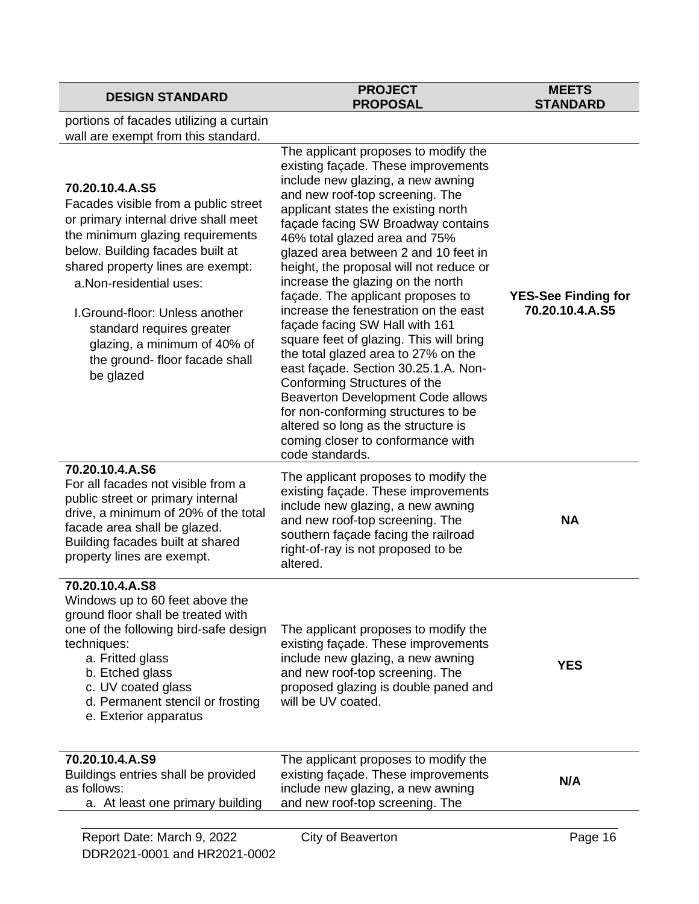#### **PROJECT PROPOSAL**

#### **MEETS STANDARD**

portions of facades utilizing a curtain wall are exempt from this standard.

| Report Date: March 9, 2022                                                                                                                                                                                                                                                                                                                                                             | City of Beaverton                                                                                                                                                                                                                                                                                                                                                                                                                                                                                                                                                                                                                                                                                                                                                                                                                                     | Page 16                                       |
|----------------------------------------------------------------------------------------------------------------------------------------------------------------------------------------------------------------------------------------------------------------------------------------------------------------------------------------------------------------------------------------|-------------------------------------------------------------------------------------------------------------------------------------------------------------------------------------------------------------------------------------------------------------------------------------------------------------------------------------------------------------------------------------------------------------------------------------------------------------------------------------------------------------------------------------------------------------------------------------------------------------------------------------------------------------------------------------------------------------------------------------------------------------------------------------------------------------------------------------------------------|-----------------------------------------------|
| 70.20.10.4.A.S9<br>Buildings entries shall be provided<br>as follows:<br>a. At least one primary building                                                                                                                                                                                                                                                                              | The applicant proposes to modify the<br>existing façade. These improvements<br>include new glazing, a new awning<br>and new roof-top screening. The                                                                                                                                                                                                                                                                                                                                                                                                                                                                                                                                                                                                                                                                                                   | N/A                                           |
| 70.20.10.4.A.S8<br>Windows up to 60 feet above the<br>ground floor shall be treated with<br>one of the following bird-safe design<br>techniques:<br>a. Fritted glass<br>b. Etched glass<br>c. UV coated glass<br>d. Permanent stencil or frosting<br>e. Exterior apparatus                                                                                                             | The applicant proposes to modify the<br>existing façade. These improvements<br>include new glazing, a new awning<br>and new roof-top screening. The<br>proposed glazing is double paned and<br>will be UV coated.                                                                                                                                                                                                                                                                                                                                                                                                                                                                                                                                                                                                                                     | <b>YES</b>                                    |
| 70.20.10.4.A.S6<br>For all facades not visible from a<br>public street or primary internal<br>drive, a minimum of 20% of the total<br>facade area shall be glazed.<br>Building facades built at shared<br>property lines are exempt.                                                                                                                                                   | The applicant proposes to modify the<br>existing façade. These improvements<br>include new glazing, a new awning<br>and new roof-top screening. The<br>southern façade facing the railroad<br>right-of-ray is not proposed to be<br>altered.                                                                                                                                                                                                                                                                                                                                                                                                                                                                                                                                                                                                          | <b>NA</b>                                     |
| 70.20.10.4.A.S5<br>Facades visible from a public street<br>or primary internal drive shall meet<br>the minimum glazing requirements<br>below. Building facades built at<br>shared property lines are exempt:<br>a.Non-residential uses:<br>I. Ground-floor: Unless another<br>standard requires greater<br>glazing, a minimum of 40% of<br>the ground- floor facade shall<br>be glazed | The applicant proposes to modify the<br>existing façade. These improvements<br>include new glazing, a new awning<br>and new roof-top screening. The<br>applicant states the existing north<br>façade facing SW Broadway contains<br>46% total glazed area and 75%<br>glazed area between 2 and 10 feet in<br>height, the proposal will not reduce or<br>increase the glazing on the north<br>façade. The applicant proposes to<br>increase the fenestration on the east<br>façade facing SW Hall with 161<br>square feet of glazing. This will bring<br>the total glazed area to 27% on the<br>east façade. Section 30.25.1.A. Non-<br>Conforming Structures of the<br><b>Beaverton Development Code allows</b><br>for non-conforming structures to be<br>altered so long as the structure is<br>coming closer to conformance with<br>code standards. | <b>YES-See Finding for</b><br>70.20.10.4.A.S5 |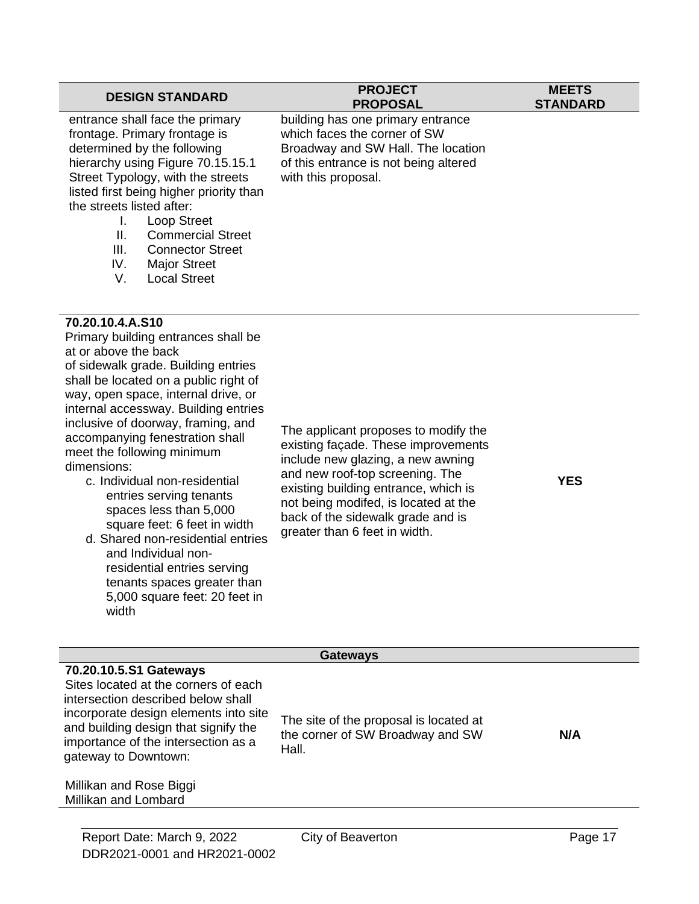#### **DESIGN STANDARD PROJECT PROPOSAL MEETS STANDARD** entrance shall face the primary frontage. Primary frontage is determined by the following hierarchy using Figure 70.15.15.1 Street Typology, with the streets listed first being higher priority than the streets listed after: I. Loop Street II. Commercial Street III. Connector Street building has one primary entrance which faces the corner of SW Broadway and SW Hall. The location of this entrance is not being altered with this proposal.

- IV. Major Street
- V. Local Street

#### **70.20.10.4.A.S10**

Primary building entrances shall be at or above the back of sidewalk grade. Building entries shall be located on a public right of way, open space, internal drive, or internal accessway. Building entries inclusive of doorway, framing, and accompanying fenestration shall meet the following minimum dimensions:

- c. Individual non-residential entries serving tenants spaces less than 5,000 square feet: 6 feet in width
- d. Shared non-residential entries and Individual nonresidential entries serving tenants spaces greater than 5,000 square feet: 20 feet in width

The applicant proposes to modify the existing façade. These improvements include new glazing, a new awning and new roof-top screening. The existing building entrance, which is not being modifed, is located at the back of the sidewalk grade and is greater than 6 feet in width.

**YES**

| <b>Gateways</b>                                                                                                                                                                                                                                      |                                                                                     |     |
|------------------------------------------------------------------------------------------------------------------------------------------------------------------------------------------------------------------------------------------------------|-------------------------------------------------------------------------------------|-----|
| 70.20.10.5.S1 Gateways<br>Sites located at the corners of each<br>intersection described below shall<br>incorporate design elements into site<br>and building design that signify the<br>importance of the intersection as a<br>gateway to Downtown: | The site of the proposal is located at<br>the corner of SW Broadway and SW<br>Hall. | N/A |
| Millikan and Rose Biggi<br>Millikan and Lombard                                                                                                                                                                                                      |                                                                                     |     |
|                                                                                                                                                                                                                                                      |                                                                                     |     |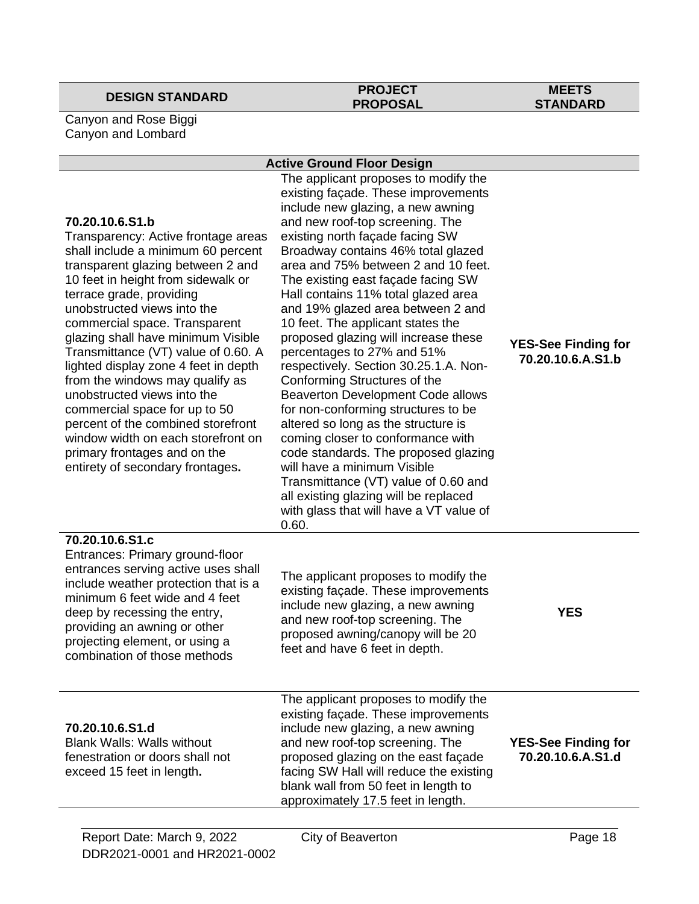## **DESIGN STANDARD PROJECT**

## **PROPOSAL**

#### **MEETS STANDARD**

Canyon and Rose Biggi Canyon and Lombard

#### **Active Ground Floor Design**

| 70.20.10.6.S1.b<br>Transparency: Active frontage areas<br>shall include a minimum 60 percent<br>transparent glazing between 2 and<br>10 feet in height from sidewalk or<br>terrace grade, providing<br>unobstructed views into the<br>commercial space. Transparent<br>glazing shall have minimum Visible<br>Transmittance (VT) value of 0.60. A<br>lighted display zone 4 feet in depth<br>from the windows may qualify as<br>unobstructed views into the<br>commercial space for up to 50<br>percent of the combined storefront<br>window width on each storefront on<br>primary frontages and on the<br>entirety of secondary frontages. | The applicant proposes to modify the<br>existing façade. These improvements<br>include new glazing, a new awning<br>and new roof-top screening. The<br>existing north façade facing SW<br>Broadway contains 46% total glazed<br>area and 75% between 2 and 10 feet.<br>The existing east façade facing SW<br>Hall contains 11% total glazed area<br>and 19% glazed area between 2 and<br>10 feet. The applicant states the<br>proposed glazing will increase these<br>percentages to 27% and 51%<br>respectively. Section 30.25.1.A. Non-<br>Conforming Structures of the<br><b>Beaverton Development Code allows</b><br>for non-conforming structures to be<br>altered so long as the structure is<br>coming closer to conformance with<br>code standards. The proposed glazing<br>will have a minimum Visible<br>Transmittance (VT) value of 0.60 and<br>all existing glazing will be replaced<br>with glass that will have a VT value of<br>0.60. | <b>YES-See Finding for</b><br>70.20.10.6.A.S1.b |
|---------------------------------------------------------------------------------------------------------------------------------------------------------------------------------------------------------------------------------------------------------------------------------------------------------------------------------------------------------------------------------------------------------------------------------------------------------------------------------------------------------------------------------------------------------------------------------------------------------------------------------------------|------------------------------------------------------------------------------------------------------------------------------------------------------------------------------------------------------------------------------------------------------------------------------------------------------------------------------------------------------------------------------------------------------------------------------------------------------------------------------------------------------------------------------------------------------------------------------------------------------------------------------------------------------------------------------------------------------------------------------------------------------------------------------------------------------------------------------------------------------------------------------------------------------------------------------------------------------|-------------------------------------------------|
| 70.20.10.6.S1.c<br>Entrances: Primary ground-floor<br>entrances serving active uses shall<br>include weather protection that is a<br>minimum 6 feet wide and 4 feet<br>deep by recessing the entry,<br>providing an awning or other<br>projecting element, or using a<br>combination of those methods                                                                                                                                                                                                                                                                                                                                       | The applicant proposes to modify the<br>existing façade. These improvements<br>include new glazing, a new awning<br>and new roof-top screening. The<br>proposed awning/canopy will be 20<br>feet and have 6 feet in depth.                                                                                                                                                                                                                                                                                                                                                                                                                                                                                                                                                                                                                                                                                                                           | <b>YES</b>                                      |
| 70.20.10.6.S1.d<br><b>Blank Walls: Walls without</b><br>fenestration or doors shall not<br>exceed 15 feet in length.                                                                                                                                                                                                                                                                                                                                                                                                                                                                                                                        | The applicant proposes to modify the<br>existing façade. These improvements<br>include new glazing, a new awning<br>and new roof-top screening. The<br>proposed glazing on the east façade<br>facing SW Hall will reduce the existing<br>blank wall from 50 feet in length to<br>approximately 17.5 feet in length.                                                                                                                                                                                                                                                                                                                                                                                                                                                                                                                                                                                                                                  | <b>YES-See Finding for</b><br>70.20.10.6.A.S1.d |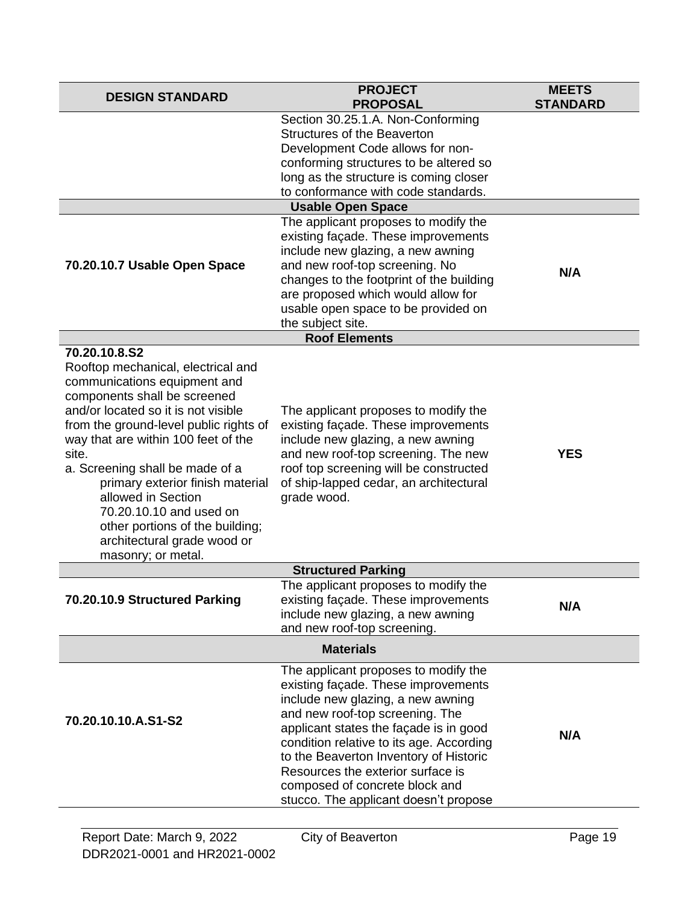| <b>DESIGN STANDARD</b>                                                                                                                                                                                                                                                                                                                                                                                                                                               | <b>PROJECT</b><br><b>PROPOSAL</b>                                                                                                                                                                                                                                                                                                                                                                                 | <b>MEETS</b><br><b>STANDARD</b> |
|----------------------------------------------------------------------------------------------------------------------------------------------------------------------------------------------------------------------------------------------------------------------------------------------------------------------------------------------------------------------------------------------------------------------------------------------------------------------|-------------------------------------------------------------------------------------------------------------------------------------------------------------------------------------------------------------------------------------------------------------------------------------------------------------------------------------------------------------------------------------------------------------------|---------------------------------|
| 70.20.10.7 Usable Open Space                                                                                                                                                                                                                                                                                                                                                                                                                                         | Section 30.25.1.A. Non-Conforming<br>Structures of the Beaverton<br>Development Code allows for non-<br>conforming structures to be altered so<br>long as the structure is coming closer<br>to conformance with code standards.<br><b>Usable Open Space</b><br>The applicant proposes to modify the<br>existing façade. These improvements<br>include new glazing, a new awning<br>and new roof-top screening. No | N/A                             |
|                                                                                                                                                                                                                                                                                                                                                                                                                                                                      | changes to the footprint of the building<br>are proposed which would allow for<br>usable open space to be provided on<br>the subject site.                                                                                                                                                                                                                                                                        |                                 |
|                                                                                                                                                                                                                                                                                                                                                                                                                                                                      | <b>Roof Elements</b>                                                                                                                                                                                                                                                                                                                                                                                              |                                 |
| 70.20.10.8.S2<br>Rooftop mechanical, electrical and<br>communications equipment and<br>components shall be screened<br>and/or located so it is not visible<br>from the ground-level public rights of<br>way that are within 100 feet of the<br>site.<br>a. Screening shall be made of a<br>primary exterior finish material<br>allowed in Section<br>70.20.10.10 and used on<br>other portions of the building;<br>architectural grade wood or<br>masonry; or metal. | The applicant proposes to modify the<br>existing façade. These improvements<br>include new glazing, a new awning<br>and new roof-top screening. The new<br>roof top screening will be constructed<br>of ship-lapped cedar, an architectural<br>grade wood.                                                                                                                                                        | <b>YES</b>                      |
|                                                                                                                                                                                                                                                                                                                                                                                                                                                                      | <b>Structured Parking</b>                                                                                                                                                                                                                                                                                                                                                                                         |                                 |
| 70.20.10.9 Structured Parking                                                                                                                                                                                                                                                                                                                                                                                                                                        | The applicant proposes to modify the<br>existing façade. These improvements<br>include new glazing, a new awning<br>and new roof-top screening.                                                                                                                                                                                                                                                                   | N/A                             |
| <b>Materials</b>                                                                                                                                                                                                                                                                                                                                                                                                                                                     |                                                                                                                                                                                                                                                                                                                                                                                                                   |                                 |
| 70.20.10.10.A.S1-S2                                                                                                                                                                                                                                                                                                                                                                                                                                                  | The applicant proposes to modify the<br>existing façade. These improvements<br>include new glazing, a new awning<br>and new roof-top screening. The<br>applicant states the façade is in good<br>condition relative to its age. According<br>to the Beaverton Inventory of Historic<br>Resources the exterior surface is<br>composed of concrete block and<br>stucco. The applicant doesn't propose               | N/A                             |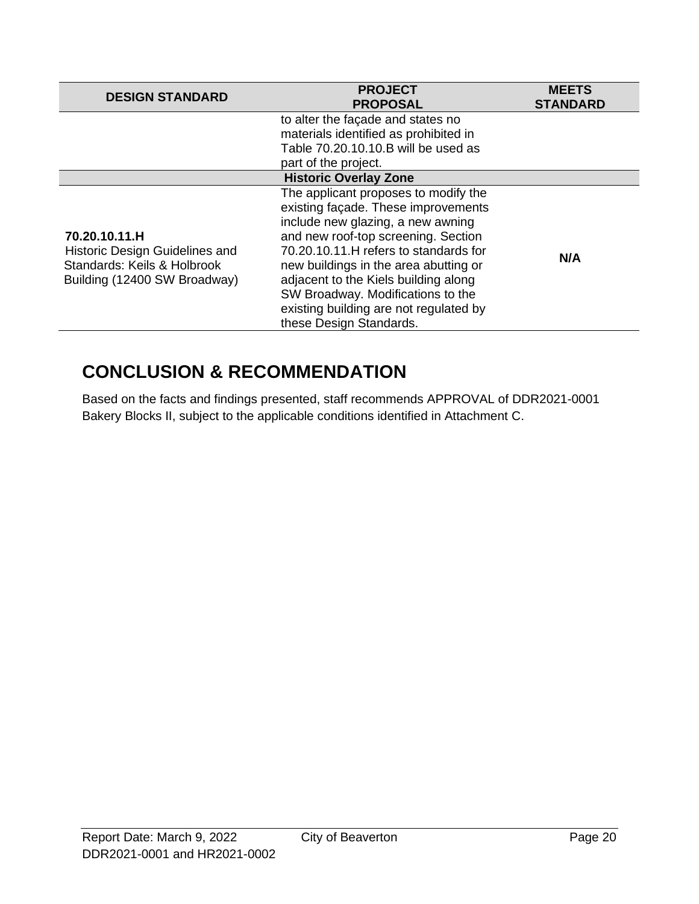| <b>DESIGN STANDARD</b>                                                                                         | <b>PROJECT</b><br><b>PROPOSAL</b>                                                                                                                                                                                                                                                                                                                                                           | <b>MEETS</b><br><b>STANDARD</b> |
|----------------------------------------------------------------------------------------------------------------|---------------------------------------------------------------------------------------------------------------------------------------------------------------------------------------------------------------------------------------------------------------------------------------------------------------------------------------------------------------------------------------------|---------------------------------|
|                                                                                                                | to alter the façade and states no<br>materials identified as prohibited in<br>Table 70.20.10.10.B will be used as<br>part of the project.                                                                                                                                                                                                                                                   |                                 |
|                                                                                                                | <b>Historic Overlay Zone</b>                                                                                                                                                                                                                                                                                                                                                                |                                 |
| 70.20.10.11.H<br>Historic Design Guidelines and<br>Standards: Keils & Holbrook<br>Building (12400 SW Broadway) | The applicant proposes to modify the<br>existing façade. These improvements<br>include new glazing, a new awning<br>and new roof-top screening. Section<br>70.20.10.11.H refers to standards for<br>new buildings in the area abutting or<br>adjacent to the Kiels building along<br>SW Broadway. Modifications to the<br>existing building are not regulated by<br>these Design Standards. | N/A                             |

## **CONCLUSION & RECOMMENDATION**

Based on the facts and findings presented, staff recommends APPROVAL of DDR2021-0001 Bakery Blocks II, subject to the applicable conditions identified in Attachment C.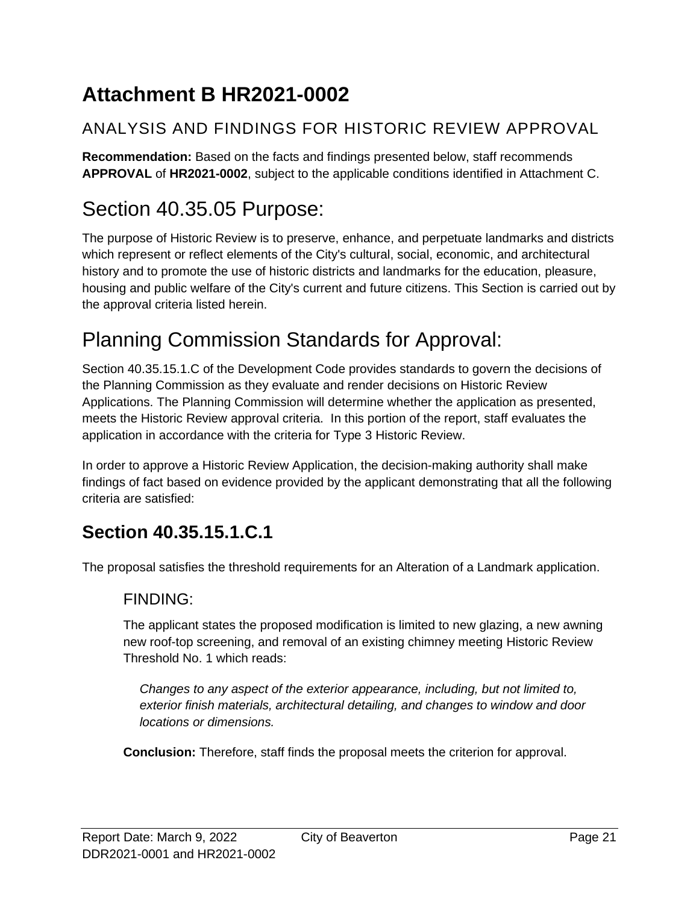# <span id="page-20-0"></span>**Attachment B HR2021-0002**

## ANALYSIS AND FINDINGS FOR HISTORIC REVIEW APPROVAL

**Recommendation:** Based on the facts and findings presented below, staff recommends **APPROVAL** of **HR2021-0002**, subject to the applicable conditions identified in Attachment C.

# Section 40.35.05 Purpose:

The purpose of Historic Review is to preserve, enhance, and perpetuate landmarks and districts which represent or reflect elements of the City's cultural, social, economic, and architectural history and to promote the use of historic districts and landmarks for the education, pleasure, housing and public welfare of the City's current and future citizens. This Section is carried out by the approval criteria listed herein.

# Planning Commission Standards for Approval:

Section 40.35.15.1.C of the Development Code provides standards to govern the decisions of the Planning Commission as they evaluate and render decisions on Historic Review Applications. The Planning Commission will determine whether the application as presented, meets the Historic Review approval criteria. In this portion of the report, staff evaluates the application in accordance with the criteria for Type 3 Historic Review.

In order to approve a Historic Review Application, the decision-making authority shall make findings of fact based on evidence provided by the applicant demonstrating that all the following criteria are satisfied:

## **Section 40.35.15.1.C.1**

The proposal satisfies the threshold requirements for an Alteration of a Landmark application.

#### FINDING:

The applicant states the proposed modification is limited to new glazing, a new awning new roof-top screening, and removal of an existing chimney meeting Historic Review Threshold No. 1 which reads:

*Changes to any aspect of the exterior appearance, including, but not limited to, exterior finish materials, architectural detailing, and changes to window and door locations or dimensions.* 

**Conclusion:** Therefore, staff finds the proposal meets the criterion for approval.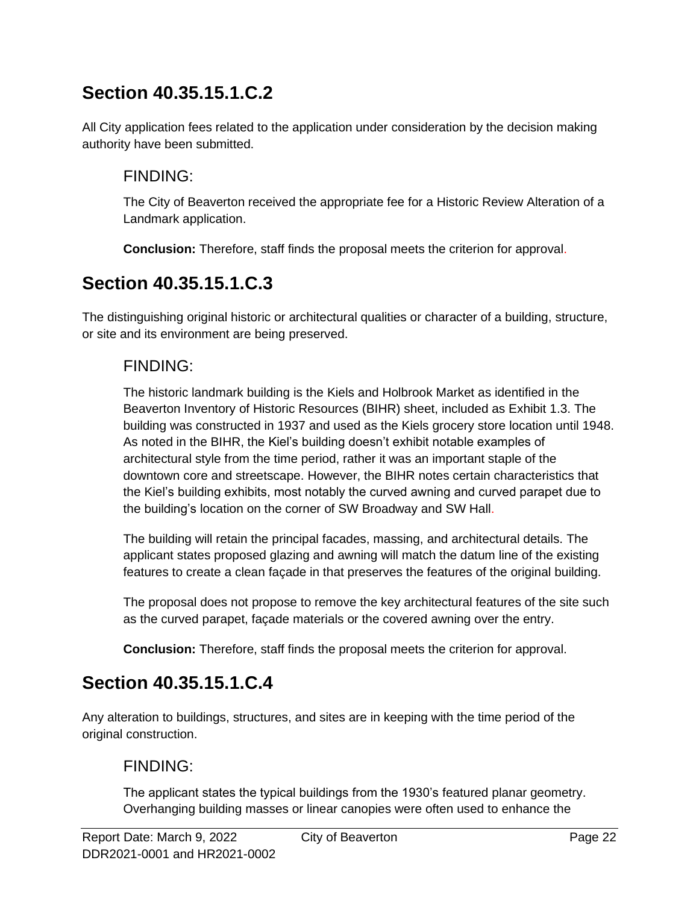## **Section 40.35.15.1.C.2**

All City application fees related to the application under consideration by the decision making authority have been submitted.

### FINDING:

The City of Beaverton received the appropriate fee for a Historic Review Alteration of a Landmark application.

**Conclusion:** Therefore, staff finds the proposal meets the criterion for approval.

## **Section 40.35.15.1.C.3**

The distinguishing original historic or architectural qualities or character of a building, structure, or site and its environment are being preserved.

#### FINDING:

The historic landmark building is the Kiels and Holbrook Market as identified in the Beaverton Inventory of Historic Resources (BIHR) sheet, included as Exhibit 1.3. The building was constructed in 1937 and used as the Kiels grocery store location until 1948. As noted in the BIHR, the Kiel's building doesn't exhibit notable examples of architectural style from the time period, rather it was an important staple of the downtown core and streetscape. However, the BIHR notes certain characteristics that the Kiel's building exhibits, most notably the curved awning and curved parapet due to the building's location on the corner of SW Broadway and SW Hall.

The building will retain the principal facades, massing, and architectural details. The applicant states proposed glazing and awning will match the datum line of the existing features to create a clean façade in that preserves the features of the original building.

The proposal does not propose to remove the key architectural features of the site such as the curved parapet, façade materials or the covered awning over the entry.

**Conclusion:** Therefore, staff finds the proposal meets the criterion for approval.

## **Section 40.35.15.1.C.4**

Any alteration to buildings, structures, and sites are in keeping with the time period of the original construction.

#### FINDING:

The applicant states the typical buildings from the 1930's featured planar geometry. Overhanging building masses or linear canopies were often used to enhance the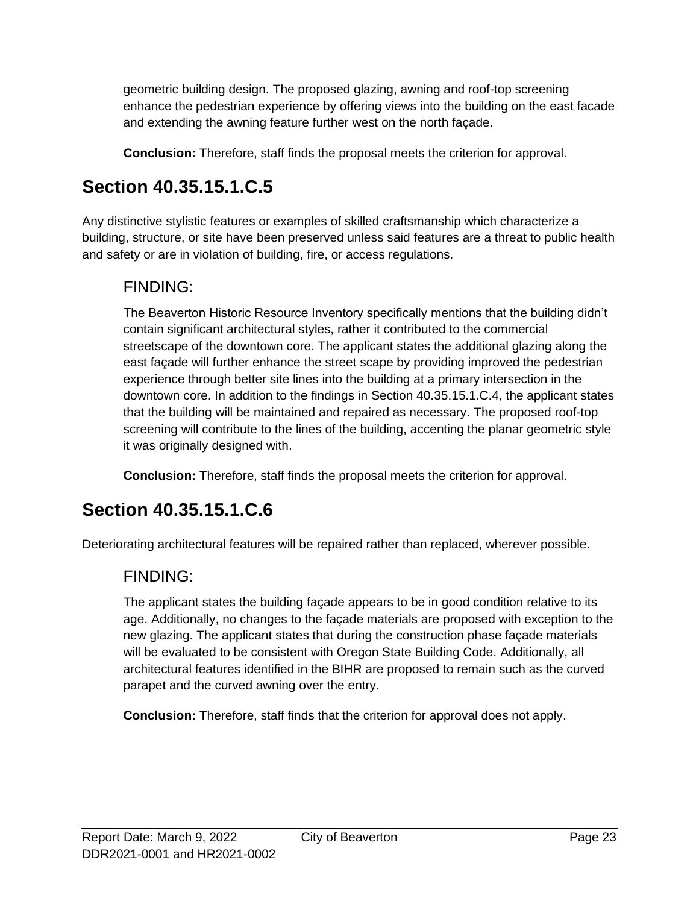geometric building design. The proposed glazing, awning and roof-top screening enhance the pedestrian experience by offering views into the building on the east facade and extending the awning feature further west on the north façade.

**Conclusion:** Therefore, staff finds the proposal meets the criterion for approval.

## **Section 40.35.15.1.C.5**

Any distinctive stylistic features or examples of skilled craftsmanship which characterize a building, structure, or site have been preserved unless said features are a threat to public health and safety or are in violation of building, fire, or access regulations.

### FINDING:

The Beaverton Historic Resource Inventory specifically mentions that the building didn't contain significant architectural styles, rather it contributed to the commercial streetscape of the downtown core. The applicant states the additional glazing along the east façade will further enhance the street scape by providing improved the pedestrian experience through better site lines into the building at a primary intersection in the downtown core. In addition to the findings in Section 40.35.15.1.C.4, the applicant states that the building will be maintained and repaired as necessary. The proposed roof-top screening will contribute to the lines of the building, accenting the planar geometric style it was originally designed with.

**Conclusion:** Therefore, staff finds the proposal meets the criterion for approval.

## **Section 40.35.15.1.C.6**

Deteriorating architectural features will be repaired rather than replaced, wherever possible.

#### FINDING:

The applicant states the building façade appears to be in good condition relative to its age. Additionally, no changes to the façade materials are proposed with exception to the new glazing. The applicant states that during the construction phase façade materials will be evaluated to be consistent with Oregon State Building Code. Additionally, all architectural features identified in the BIHR are proposed to remain such as the curved parapet and the curved awning over the entry.

**Conclusion:** Therefore, staff finds that the criterion for approval does not apply.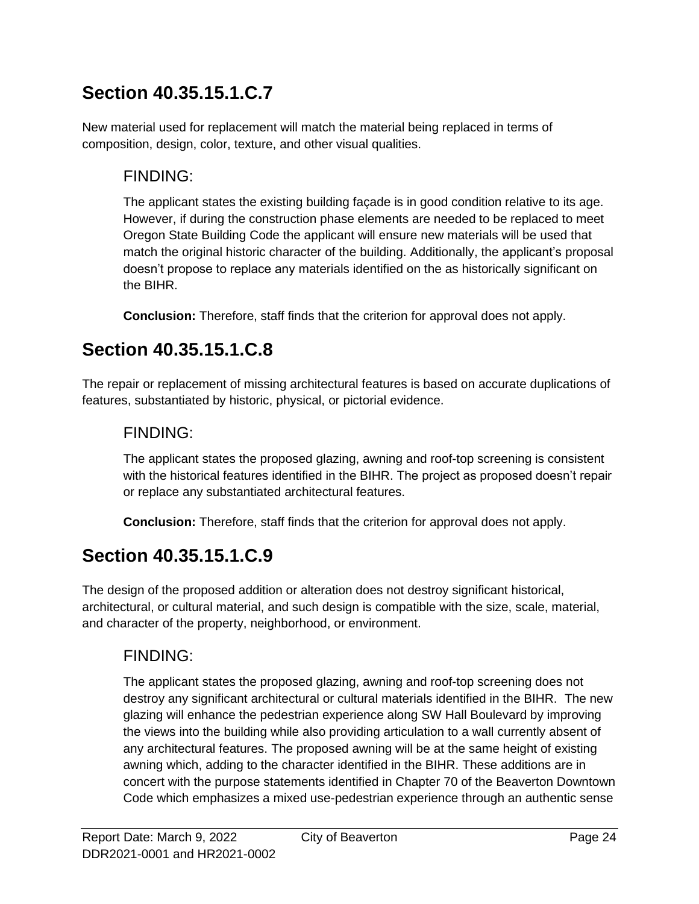## **Section 40.35.15.1.C.7**

New material used for replacement will match the material being replaced in terms of composition, design, color, texture, and other visual qualities.

### FINDING:

The applicant states the existing building façade is in good condition relative to its age. However, if during the construction phase elements are needed to be replaced to meet Oregon State Building Code the applicant will ensure new materials will be used that match the original historic character of the building. Additionally, the applicant's proposal doesn't propose to replace any materials identified on the as historically significant on the BIHR.

**Conclusion:** Therefore, staff finds that the criterion for approval does not apply.

## **Section 40.35.15.1.C.8**

The repair or replacement of missing architectural features is based on accurate duplications of features, substantiated by historic, physical, or pictorial evidence.

### FINDING:

The applicant states the proposed glazing, awning and roof-top screening is consistent with the historical features identified in the BIHR. The project as proposed doesn't repair or replace any substantiated architectural features.

**Conclusion:** Therefore, staff finds that the criterion for approval does not apply.

## **Section 40.35.15.1.C.9**

The design of the proposed addition or alteration does not destroy significant historical, architectural, or cultural material, and such design is compatible with the size, scale, material, and character of the property, neighborhood, or environment.

### FINDING:

The applicant states the proposed glazing, awning and roof-top screening does not destroy any significant architectural or cultural materials identified in the BIHR. The new glazing will enhance the pedestrian experience along SW Hall Boulevard by improving the views into the building while also providing articulation to a wall currently absent of any architectural features. The proposed awning will be at the same height of existing awning which, adding to the character identified in the BIHR. These additions are in concert with the purpose statements identified in Chapter 70 of the Beaverton Downtown Code which emphasizes a mixed use-pedestrian experience through an authentic sense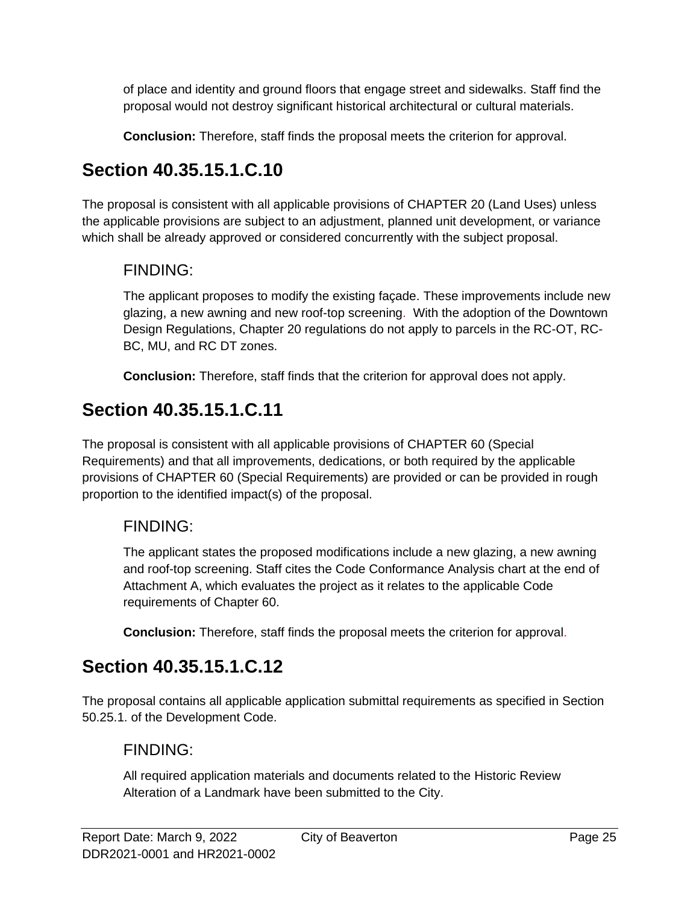of place and identity and ground floors that engage street and sidewalks. Staff find the proposal would not destroy significant historical architectural or cultural materials.

**Conclusion:** Therefore, staff finds the proposal meets the criterion for approval.

## **Section 40.35.15.1.C.10**

The proposal is consistent with all applicable provisions of CHAPTER 20 (Land Uses) unless the applicable provisions are subject to an adjustment, planned unit development, or variance which shall be already approved or considered concurrently with the subject proposal.

### FINDING:

The applicant proposes to modify the existing façade. These improvements include new glazing, a new awning and new roof-top screening. With the adoption of the Downtown Design Regulations, Chapter 20 regulations do not apply to parcels in the RC-OT, RC-BC, MU, and RC DT zones.

**Conclusion:** Therefore, staff finds that the criterion for approval does not apply.

## **Section 40.35.15.1.C.11**

The proposal is consistent with all applicable provisions of CHAPTER 60 (Special Requirements) and that all improvements, dedications, or both required by the applicable provisions of CHAPTER 60 (Special Requirements) are provided or can be provided in rough proportion to the identified impact(s) of the proposal.

### FINDING:

The applicant states the proposed modifications include a new glazing, a new awning and roof-top screening. Staff cites the Code Conformance Analysis chart at the end of Attachment A, which evaluates the project as it relates to the applicable Code requirements of Chapter 60.

**Conclusion:** Therefore, staff finds the proposal meets the criterion for approval.

## **Section 40.35.15.1.C.12**

The proposal contains all applicable application submittal requirements as specified in Section 50.25.1. of the Development Code.

### FINDING:

All required application materials and documents related to the Historic Review Alteration of a Landmark have been submitted to the City.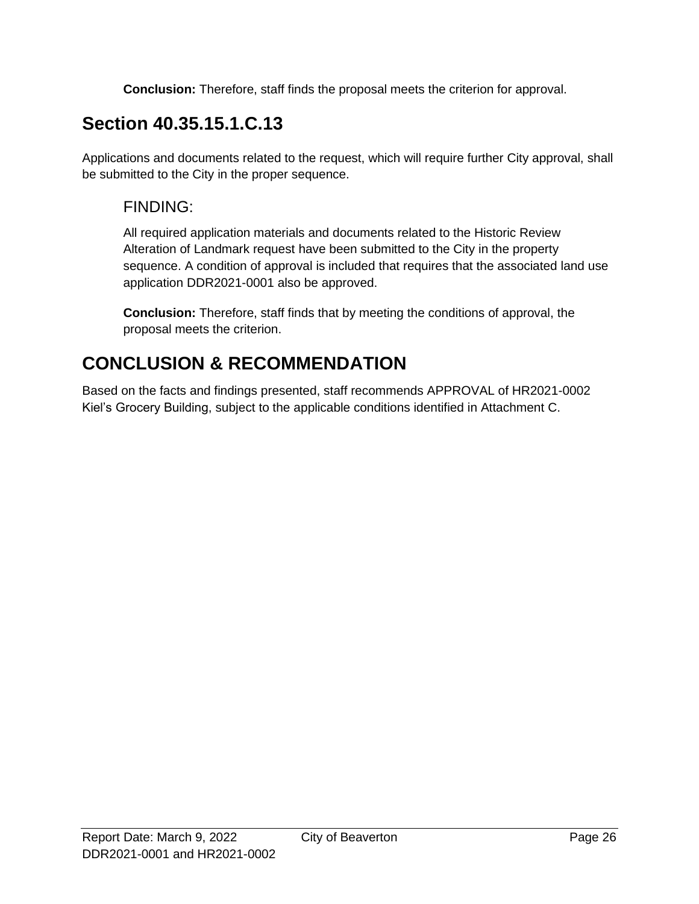**Conclusion:** Therefore, staff finds the proposal meets the criterion for approval.

## **Section 40.35.15.1.C.13**

Applications and documents related to the request, which will require further City approval, shall be submitted to the City in the proper sequence.

### FINDING:

All required application materials and documents related to the Historic Review Alteration of Landmark request have been submitted to the City in the property sequence. A condition of approval is included that requires that the associated land use application DDR2021-0001 also be approved.

**Conclusion:** Therefore, staff finds that by meeting the conditions of approval, the proposal meets the criterion.

## **CONCLUSION & RECOMMENDATION**

Based on the facts and findings presented, staff recommends APPROVAL of HR2021-0002 Kiel's Grocery Building, subject to the applicable conditions identified in Attachment C.